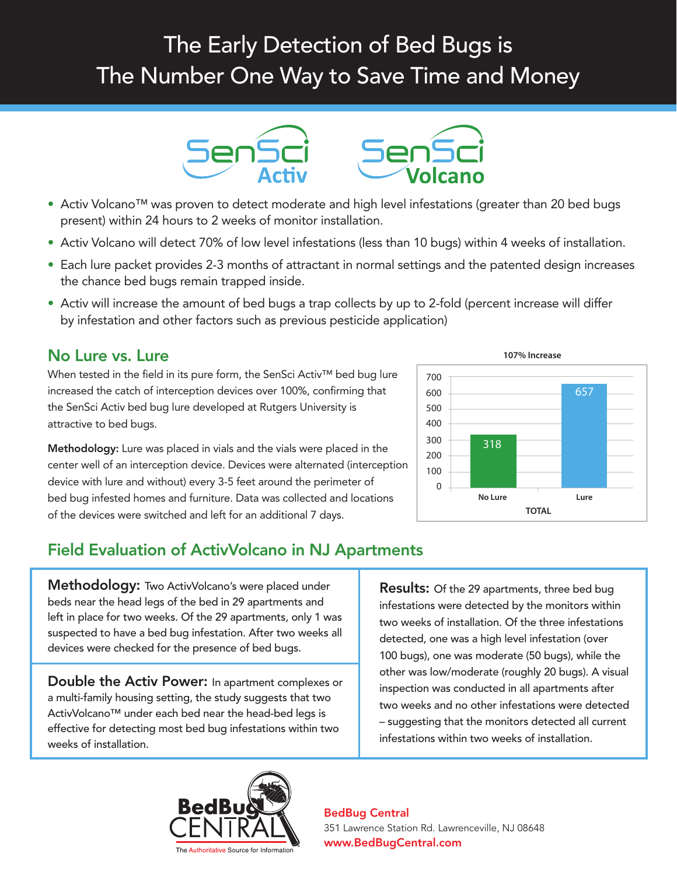# The Early Detection of Bed Bugs is The Number One Way to Save Time and Money



- Activ Volcano™ was proven to detect moderate and high level infestations (greater than 20 bed bugs present) within 24 hours to 2 weeks of monitor installation.
- Activ Volcano will detect 70% of low level infestations (less than 10 bugs) within 4 weeks of installation.
- Each lure packet provides 2-3 months of attractant in normal settings and the patented design increases the chance bed bugs remain trapped inside.
- Activ will increase the amount of bed bugs a trap collects by up to 2-fold (percent increase will differ by infestation and other factors such as previous pesticide application)

## No Lure vs. Lure

When tested in the field in its pure form, the SenSci Activ™ bed bug lure increased the catch of interception devices over 100%, confirming that the SenSci Activ bed bug lure developed at Rutgers University is attractive to bed bugs.

Methodology: Lure was placed in vials and the vials were placed in the center well of an interception device. Devices were alternated (interception device with lure and without) every 3-5 feet around the perimeter of bed bug infested homes and furniture. Data was collected and locations of the devices were switched and left for an additional 7 days.

# Field Evaluation of ActivVolcano in NJ Apartments

Methodology: Two ActivVolcano's were placed under beds near the head legs of the bed in 29 apartments and left in place for two weeks. Of the 29 apartments, only 1 was suspected to have a bed bug infestation. After two weeks all devices were checked for the presence of bed bugs.

Double the Activ Power: In apartment complexes or a multi-family housing setting, the study suggests that two ActivVolcano™ under each bed near the head-bed legs is effective for detecting most bed bug infestations within two weeks of installation.

## **Results:** Of the 29 apartments, three bed bug infestations were detected by the monitors within two weeks of installation. Of the three infestations detected, one was a high level infestation (over 100 bugs), one was moderate (50 bugs), while the other was low/moderate (roughly 20 bugs). A visual inspection was conducted in all apartments after two weeks and no other infestations were detected – suggesting that the monitors detected all current infestations within two weeks of installation.



### BedBug Central 351 Lawrence Station Rd. Lawrenceville, NJ 08648 ® www.BedBugCentral.com

### **107% Increase**